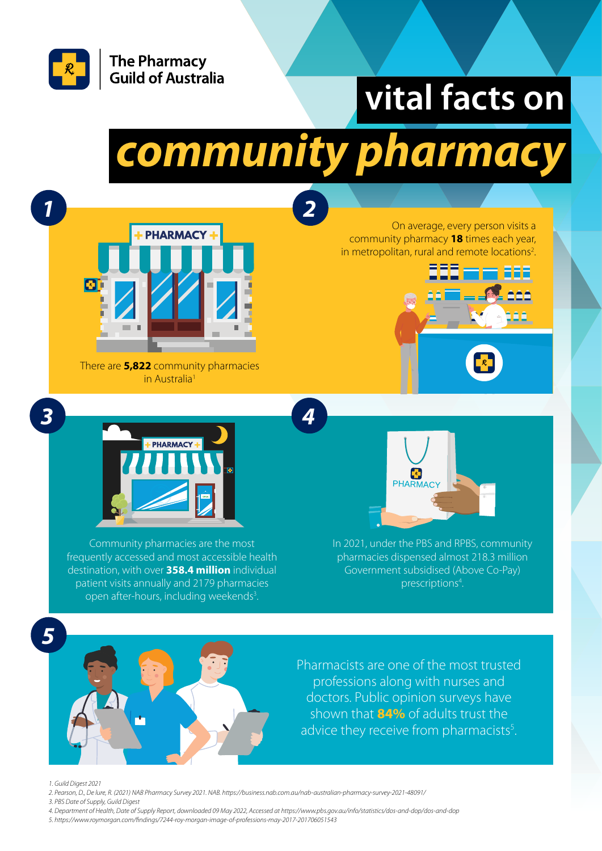

## **vital facts on**

# *community pharmacy*

*2*

*4*



There are **5,822** community pharmacies in Australia<sup>1</sup>

On average, every person visits a community pharmacy **18** times each year, in metropolitan, rural and remote locations<sup>2</sup>. .





Community pharmacies are the most frequently accessed and most accessible health destination, with over **358.4 million** individual patient visits annually and 2179 pharmacies open after-hours, including weekends<sup>3</sup>.



In 2021, under the PBS and RPBS, community pharmacies dispensed almost 218.3 million Government subsidised (Above Co-Pay) prescriptions<sup>4</sup>.



*1*

*3*



Pharmacists are one of the most trusted professions along with nurses and doctors. Public opinion surveys have shown that **84%** of adults trust the advice they receive from pharmacists<sup>5</sup>.

*1. Guild Digest 2021*

*2. Pearson, D., De lure, R. (2021) NAB Pharmacy Survey 2021. NAB. https://business.nab.com.au/nab-australian-pharmacy-survey-2021-48091/*

- *3. PBS Date of Supply, Guild Digest*
- *4. Department of Health, Date of Supply Report, downloaded 09 May 2022, Accessed at https://www.pbs.gov.au/info/statistics/dos-and-dop/dos-and-dop*
- *5. https://www.roymorgan.com/findings/7244-roy-morgan-image-of-professions-may-2017-201706051543*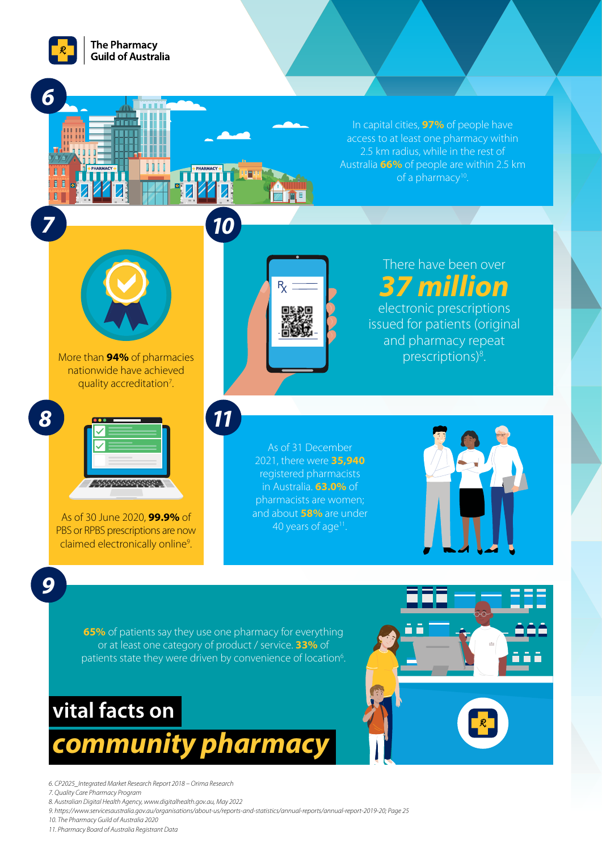

*6*

*7*

 $\blacksquare$ 

In capital cities, **97%** of people have access to at least one pharmacy within 2.5 km radius, while in the rest of Australia **66%** of people are within 2.5 km of a pharmacy<sup>10</sup>.



More than **94%** of pharmacies nationwide have achieved quality accreditation<sup>7</sup>. .



As of 30 June 2020, **99.9%** of PBS or RPBS prescriptions are now claimed electronically online<sup>9</sup>. .



There have been over *37 million* electronic prescriptions issued for patients (original

> and pharmacy repeat prescriptions)<sup>8</sup>.

As of 31 December 2021, there were **35,940** registered pharmacists in Australia. **63.0%** of pharmacists are women; and about **58%** are under 40 years of age<sup>11</sup>.



*9*

**65%** of patients say they use one pharmacy for everything or at least one category of product / service. **33%** of patients state they were driven by convenience of location<sup>6</sup>.

*11*

*10*

## **vital facts on**

#### *community pharmacy*

*6. CP2025\_Integrated Market Research Report 2018 – Orima Research*

*7. Quality Care Pharmacy Program*

- *8. Australian Digital Health Agency, www.digitalhealth.gov.au, May 2022*
- *9. https://www.servicesaustralia.gov.au/organisations/about-us/reports-and-statistics/annual-reports/annual-report-2019-20; Page 25*

*10. The Pharmacy Guild of Australia 2020*

*11. Pharmacy Board of Australia Registrant Data*